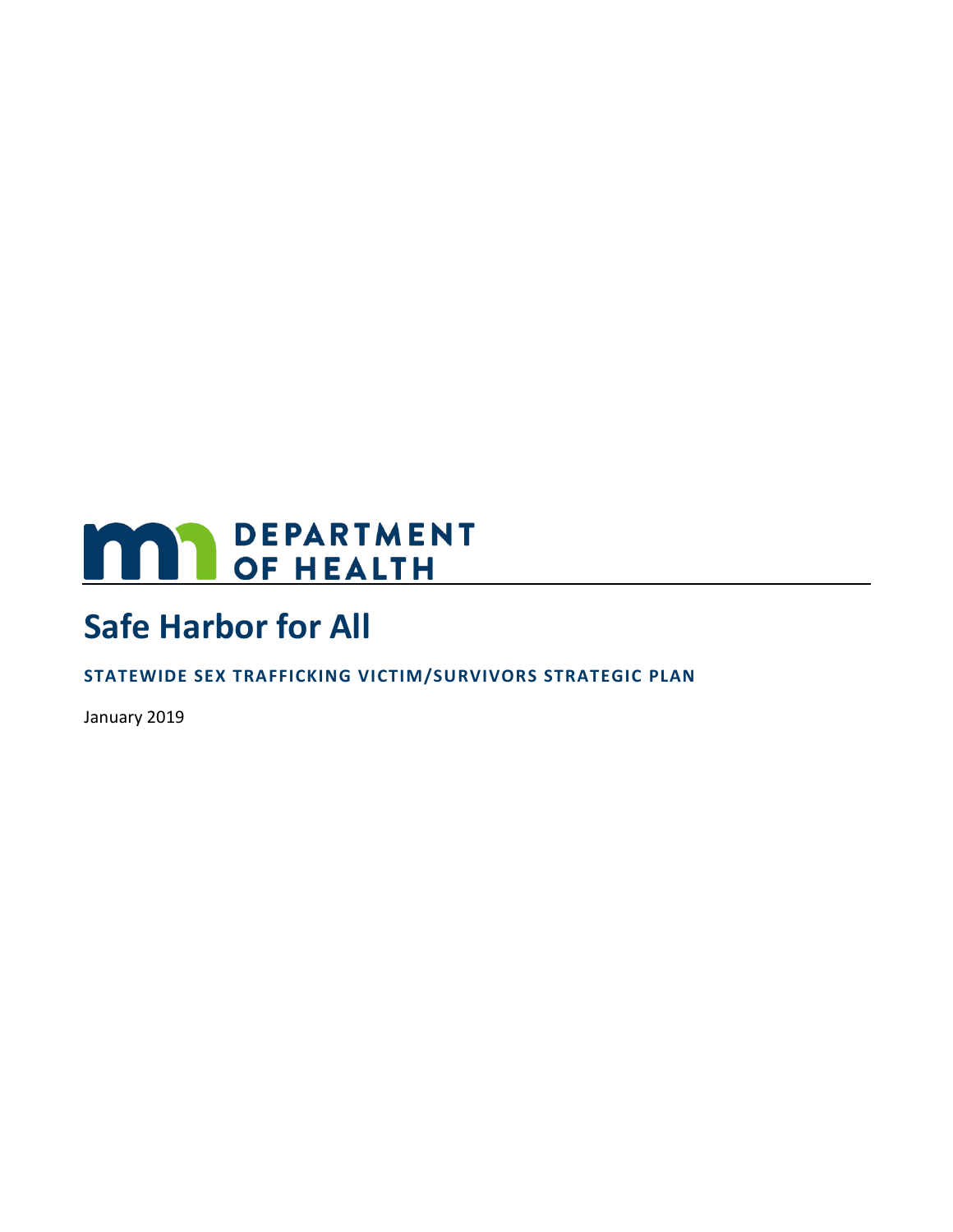# **MARI DEPARTMENT**

# **Safe Harbor for All**

**STATEWIDE SEX TRAFFICKING VICTIM/SURVIVORS STRATEGIC PLAN**

January 2019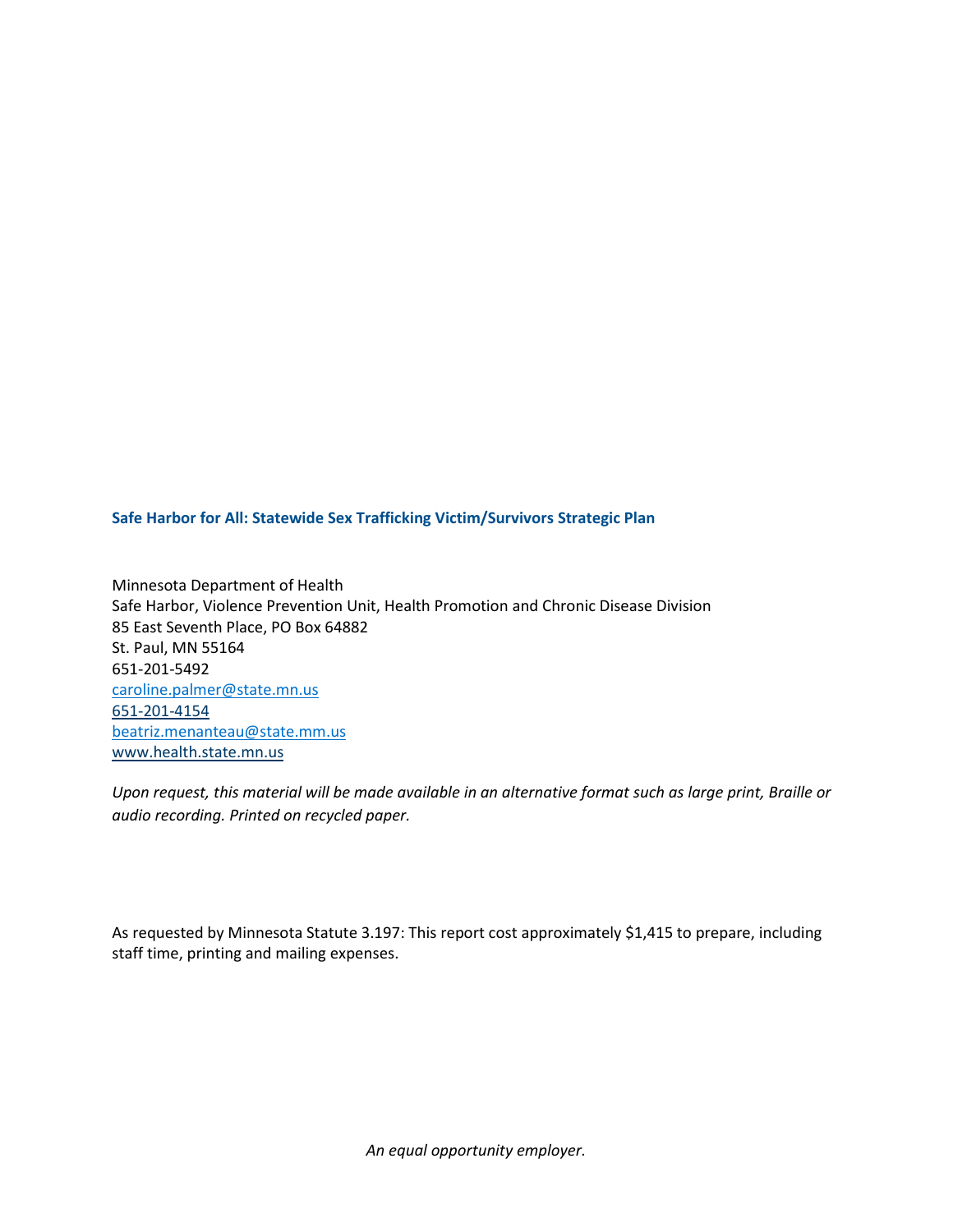**Safe Harbor for All: Statewide Sex Trafficking Victim/Survivors Strategic Plan**

Minnesota Department of Health Safe Harbor, Violence Prevention Unit, Health Promotion and Chronic Disease Division 85 East Seventh Place, PO Box 64882 St. Paul, MN 55164 651-201-5492 [caroline.palmer@state.mn.us](mailto:caroline.palmer@state.mn.us) 651-201-4154 [beatriz.menanteau@state.mm.us](mailto:beatriz.menanteau@state.mm.us) [www.health.state.mn.us](http://www.health.state.mn.us/)

*Upon request, this material will be made available in an alternative format such as large print, Braille or audio recording. Printed on recycled paper.*

As requested by Minnesota Statute 3.197: This report cost approximately \$1,415 to prepare, including staff time, printing and mailing expenses.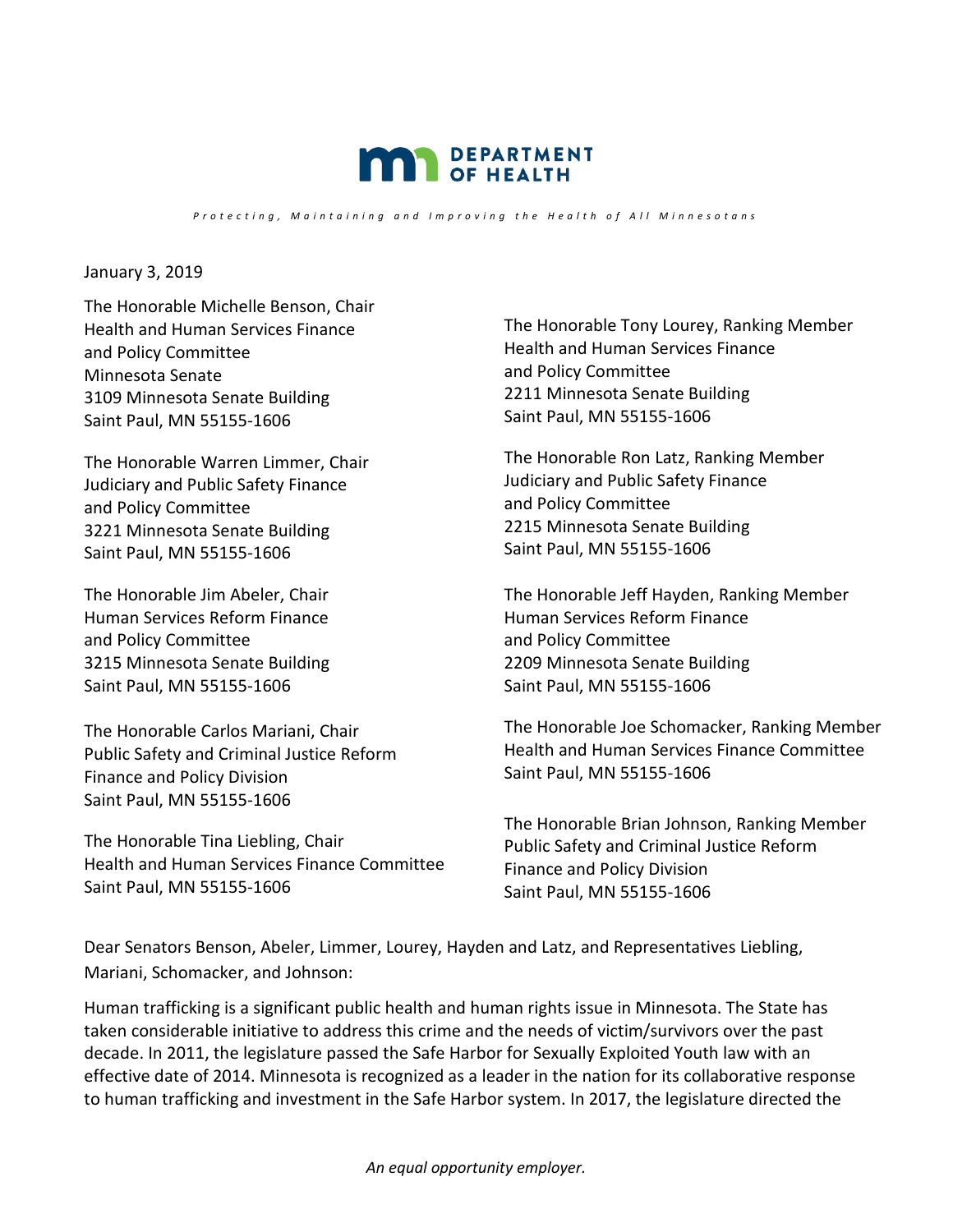

*Protecting , Maintaining and Improving the Health o f All Minnesotan s*

<span id="page-2-0"></span>January 3, 2019

The Honorable Michelle Benson, Chair Health and Human Services Finance and Policy Committee Minnesota Senate 3109 Minnesota Senate Building Saint Paul, MN 55155-1606

The Honorable Warren Limmer, Chair Judiciary and Public Safety Finance and Policy Committee 3221 Minnesota Senate Building Saint Paul, MN 55155-1606

The Honorable Jim Abeler, Chair Human Services Reform Finance and Policy Committee 3215 Minnesota Senate Building Saint Paul, MN 55155-1606

The Honorable Carlos Mariani, Chair Public Safety and Criminal Justice Reform Finance and Policy Division Saint Paul, MN 55155-1606

The Honorable Tina Liebling, Chair Health and Human Services Finance Committee Saint Paul, MN 55155-1606

The Honorable Tony Lourey, Ranking Member Health and Human Services Finance and Policy Committee 2211 Minnesota Senate Building Saint Paul, MN 55155-1606

The Honorable Ron Latz, Ranking Member Judiciary and Public Safety Finance and Policy Committee 2215 Minnesota Senate Building Saint Paul, MN 55155-1606

The Honorable Jeff Hayden, Ranking Member Human Services Reform Finance and Policy Committee 2209 Minnesota Senate Building Saint Paul, MN 55155-1606

The Honorable Joe Schomacker, Ranking Member Health and Human Services Finance Committee Saint Paul, MN 55155-1606

The Honorable Brian Johnson, Ranking Member Public Safety and Criminal Justice Reform Finance and Policy Division Saint Paul, MN 55155-1606

Dear Senators Benson, Abeler, Limmer, Lourey, Hayden and Latz, and Representatives Liebling, Mariani, Schomacker, and Johnson:

Human trafficking is a significant public health and human rights issue in Minnesota. The State has taken considerable initiative to address this crime and the needs of victim/survivors over the past decade. In 2011, the legislature passed the Safe Harbor for Sexually Exploited Youth law with an effective date of 2014. Minnesota is recognized as a leader in the nation for its collaborative response to human trafficking and investment in the Safe Harbor system. In 2017, the legislature directed the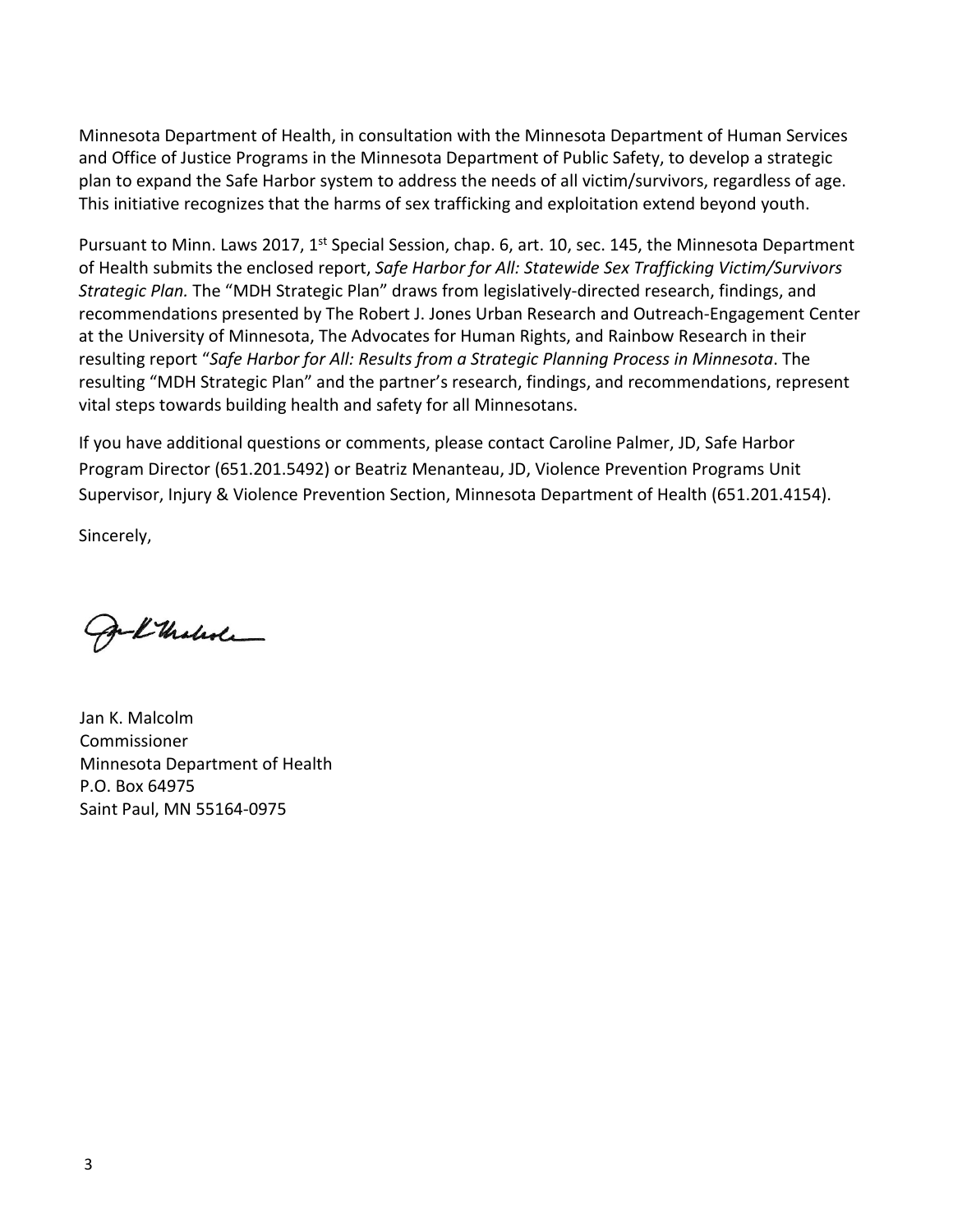Minnesota Department of Health, in consultation with the Minnesota Department of Human Services and Office of Justice Programs in the Minnesota Department of Public Safety, to develop a strategic plan to expand the Safe Harbor system to address the needs of all victim/survivors, regardless of age. This initiative recognizes that the harms of sex trafficking and exploitation extend beyond youth.

Pursuant to Minn. Laws 2017, 1<sup>st</sup> Special Session, chap. 6, art. 10, sec. 145, the Minnesota Department of Health submits the enclosed report, *Safe Harbor for All: Statewide Sex Trafficking Victim/Survivors Strategic Plan.* The "MDH Strategic Plan" draws from legislatively-directed research, findings, and recommendations presented by The Robert J. Jones Urban Research and Outreach-Engagement Center at the University of Minnesota, The Advocates for Human Rights, and Rainbow Research in their resulting report "*Safe Harbor for All: Results from a Strategic Planning Process in Minnesota*. The resulting "MDH Strategic Plan" and the partner's research, findings, and recommendations, represent vital steps towards building health and safety for all Minnesotans.

If you have additional questions or comments, please contact Caroline Palmer, JD, Safe Harbor Program Director (651.201.5492) or Beatriz Menanteau, JD, Violence Prevention Programs Unit Supervisor, Injury & Violence Prevention Section, Minnesota Department of Health (651.201.4154).

Sincerely,

- L'Underle

Jan K. Malcolm Commissioner Minnesota Department of Health P.O. Box 64975 Saint Paul, MN 55164-0975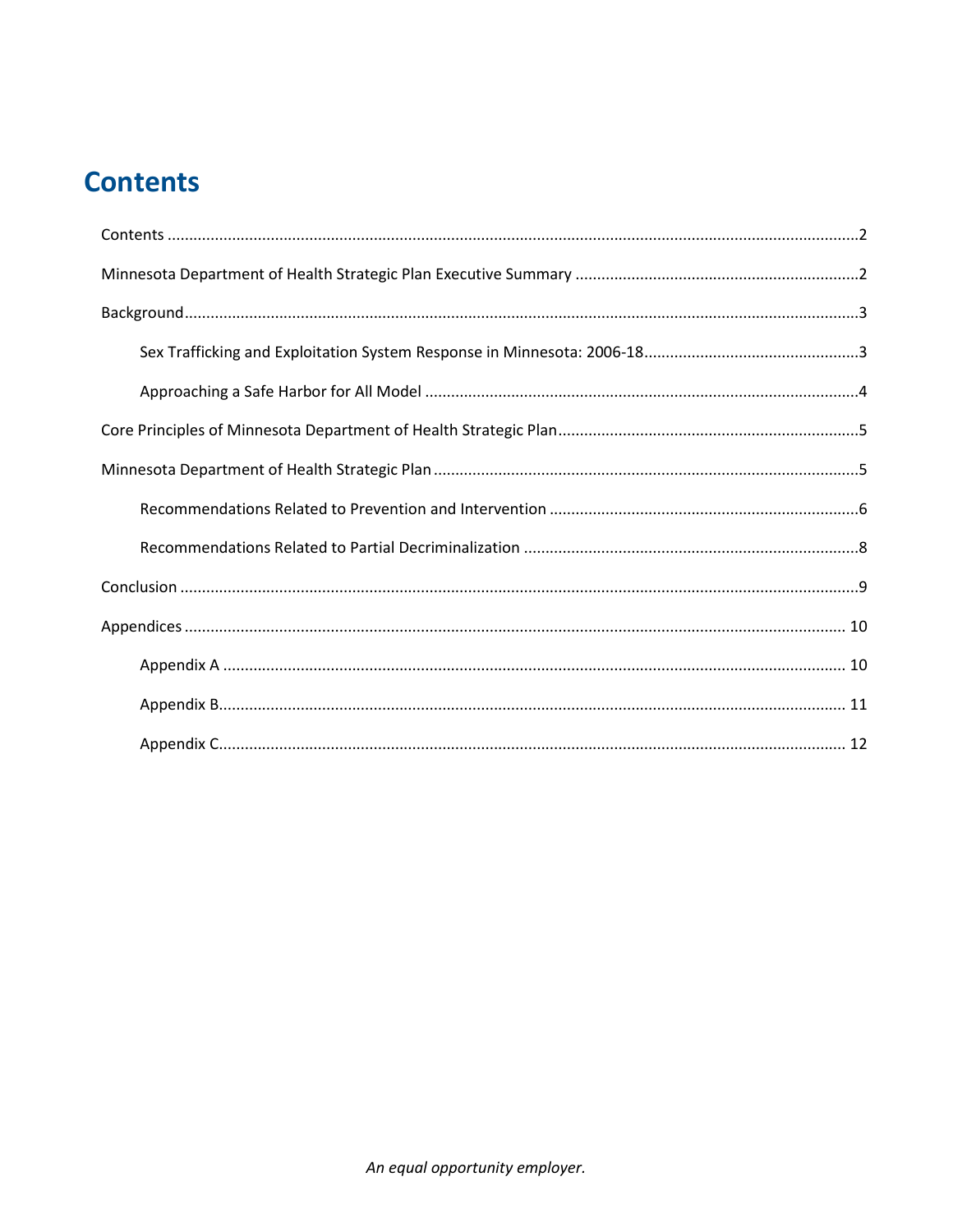## **Contents**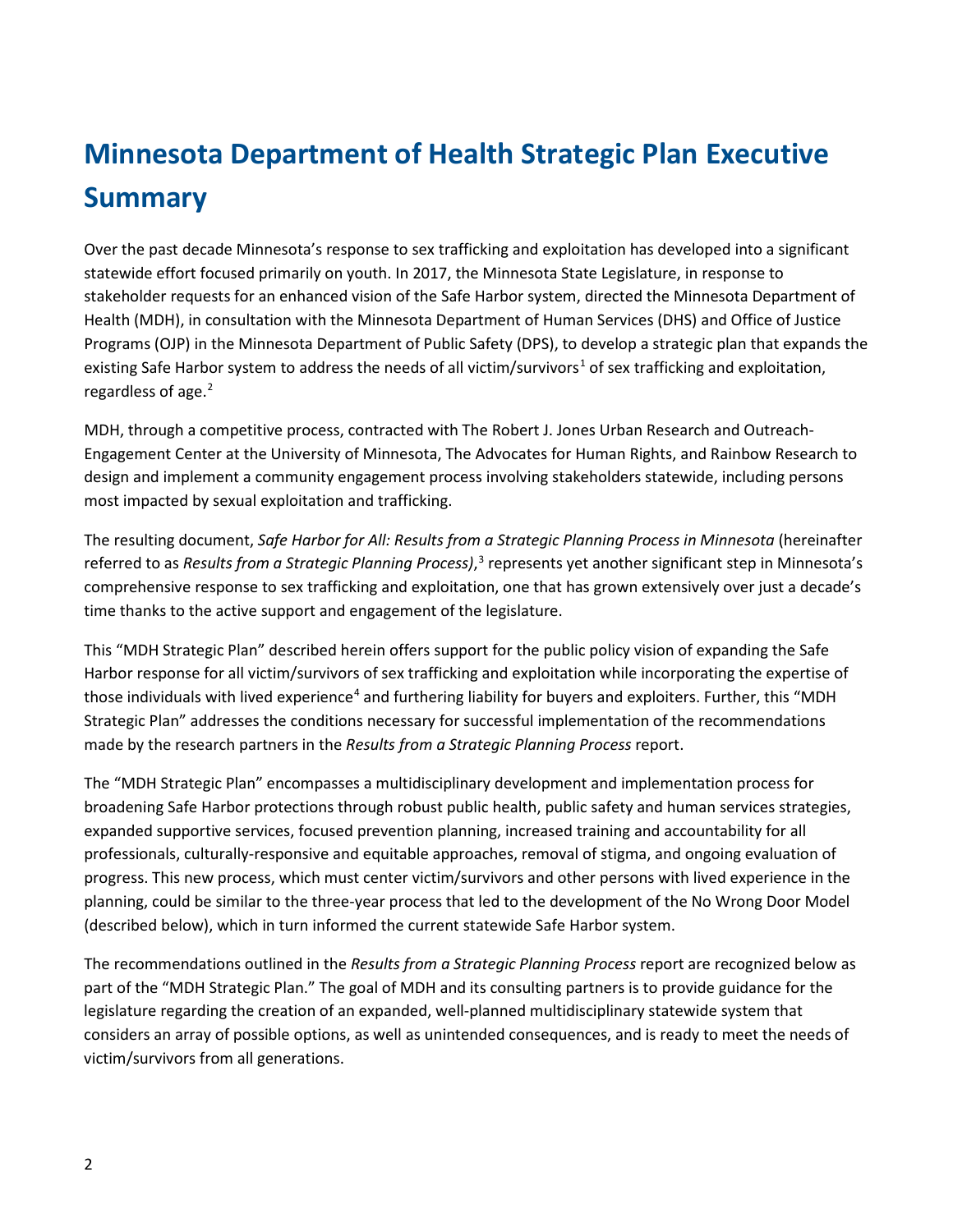# <span id="page-5-0"></span>**Minnesota Department of Health Strategic Plan Executive Summary**

Over the past decade Minnesota's response to sex trafficking and exploitation has developed into a significant statewide effort focused primarily on youth. In 2017, the Minnesota State Legislature, in response to stakeholder requests for an enhanced vision of the Safe Harbor system, directed the Minnesota Department of Health (MDH), in consultation with the Minnesota Department of Human Services (DHS) and Office of Justice Programs (OJP) in the Minnesota Department of Public Safety (DPS), to develop a strategic plan that expands the existing Safe Harbor system to address the needs of all victim/survivors<sup>[1](#page-18-0)</sup> of sex trafficking and exploitation, regardless of age.<sup>[2](#page-18-1)</sup>

MDH, through a competitive process, contracted with The Robert J. Jones Urban Research and Outreach-Engagement Center at the University of Minnesota, The Advocates for Human Rights, and Rainbow Research to design and implement a community engagement process involving stakeholders statewide, including persons most impacted by sexual exploitation and trafficking.

The resulting document, *Safe Harbor for All: Results from a Strategic Planning Process in Minnesota* (hereinafter referred to as *Results from a Strategic Planning Process)*, [3](#page-18-2) represents yet another significant step in Minnesota's comprehensive response to sex trafficking and exploitation, one that has grown extensively over just a decade's time thanks to the active support and engagement of the legislature.

This "MDH Strategic Plan" described herein offers support for the public policy vision of expanding the Safe Harbor response for all victim/survivors of sex trafficking and exploitation while incorporating the expertise of those individuals with lived experience<sup>[4](#page-18-3)</sup> and furthering liability for buyers and exploiters. Further, this "MDH Strategic Plan" addresses the conditions necessary for successful implementation of the recommendations made by the research partners in the *Results from a Strategic Planning Process* report.

The "MDH Strategic Plan" encompasses a multidisciplinary development and implementation process for broadening Safe Harbor protections through robust public health, public safety and human services strategies, expanded supportive services, focused prevention planning, increased training and accountability for all professionals, culturally-responsive and equitable approaches, removal of stigma, and ongoing evaluation of progress. This new process, which must center victim/survivors and other persons with lived experience in the planning, could be similar to the three-year process that led to the development of the No Wrong Door Model (described below), which in turn informed the current statewide Safe Harbor system.

The recommendations outlined in the *Results from a Strategic Planning Process* report are recognized below as part of the "MDH Strategic Plan." The goal of MDH and its consulting partners is to provide guidance for the legislature regarding the creation of an expanded, well-planned multidisciplinary statewide system that considers an array of possible options, as well as unintended consequences, and is ready to meet the needs of victim/survivors from all generations.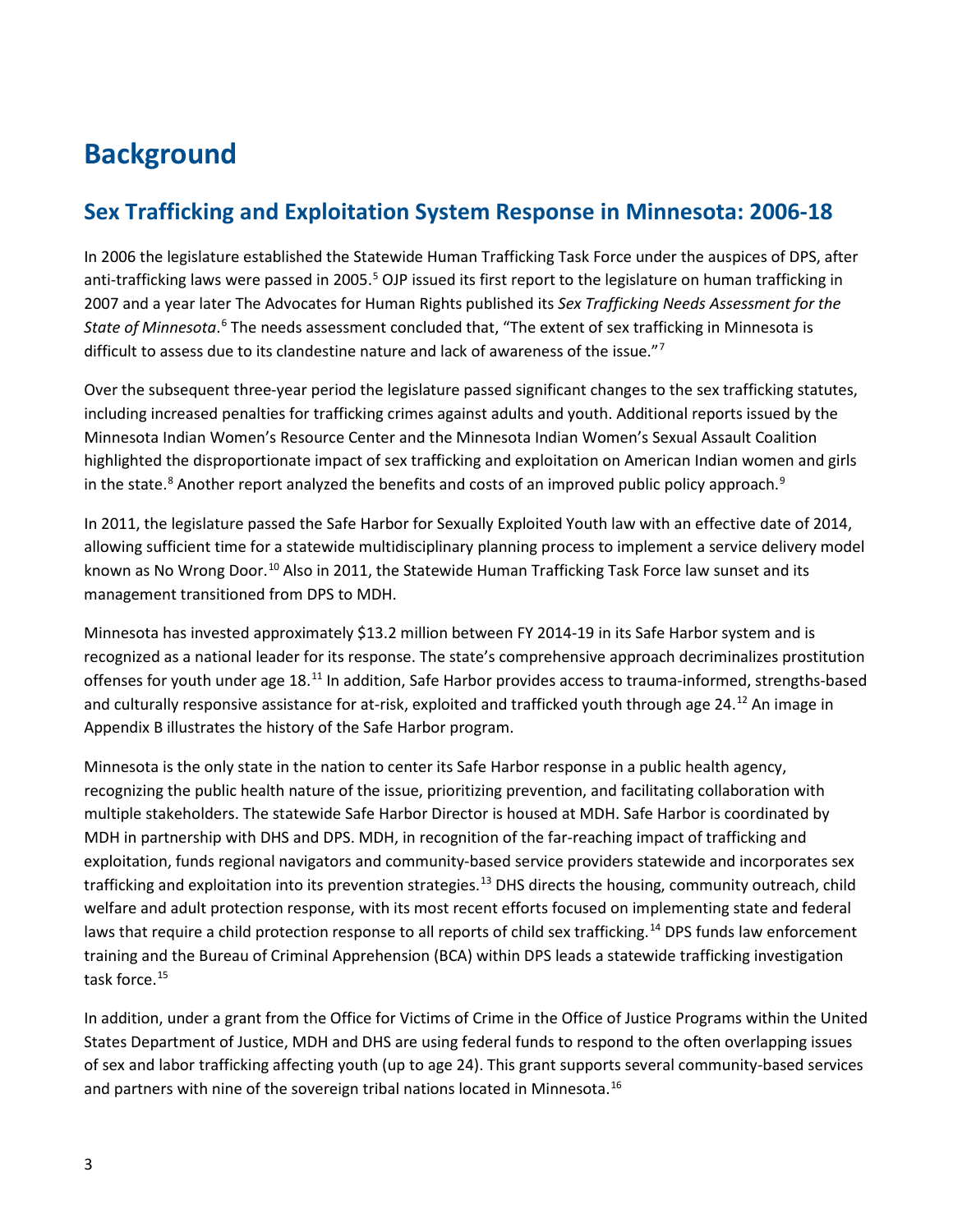## <span id="page-6-0"></span>**Background**

## <span id="page-6-1"></span>**Sex Trafficking and Exploitation System Response in Minnesota: 2006-18**

In 2006 the legislature established the Statewide Human Trafficking Task Force under the auspices of DPS, after anti-trafficking laws were passed in 200[5](#page-18-4).<sup>5</sup> OJP issued its first report to the legislature on human trafficking in 2007 and a year later The Advocates for Human Rights published its *Sex Trafficking Needs Assessment for the*  State of Minnesota.<sup>[6](#page-18-5)</sup> The needs assessment concluded that, "The extent of sex trafficking in Minnesota is difficult to assess due to its clandestine nature and lack of awareness of the issue."[7](#page-18-6)

Over the subsequent three-year period the legislature passed significant changes to the sex trafficking statutes, including increased penalties for trafficking crimes against adults and youth. Additional reports issued by the Minnesota Indian Women's Resource Center and the Minnesota Indian Women's Sexual Assault Coalition highlighted the disproportionate impact of sex trafficking and exploitation on American Indian women and girls in the state. $8$  Another report analyzed the benefits and costs of an improved public policy approach. $9$ 

In 2011, the legislature passed the Safe Harbor for Sexually Exploited Youth law with an effective date of 2014, allowing sufficient time for a statewide multidisciplinary planning process to implement a service delivery model known as No Wrong Door.<sup>[10](#page-18-9)</sup> Also in 2011, the Statewide Human Trafficking Task Force law sunset and its management transitioned from DPS to MDH.

Minnesota has invested approximately \$13.2 million between FY 2014-19 in its Safe Harbor system and is recognized as a national leader for its response. The state's comprehensive approach decriminalizes prostitution offenses for youth under age 18.[11](#page-18-10) In addition, Safe Harbor provides access to trauma-informed, strengths-based and culturally responsive assistance for at-risk, exploited and trafficked youth through age 24.<sup>[12](#page-18-11)</sup> An image in Appendix B illustrates the history of the Safe Harbor program.

Minnesota is the only state in the nation to center its Safe Harbor response in a public health agency, recognizing the public health nature of the issue, prioritizing prevention, and facilitating collaboration with multiple stakeholders. The statewide Safe Harbor Director is housed at MDH. Safe Harbor is coordinated by MDH in partnership with DHS and DPS. MDH, in recognition of the far-reaching impact of trafficking and exploitation, funds regional navigators and community-based service providers statewide and incorporates sex trafficking and exploitation into its prevention strategies.<sup>[13](#page-18-12)</sup> DHS directs the housing, community outreach, child welfare and adult protection response, with its most recent efforts focused on implementing state and federal laws that require a child protection response to all reports of child sex trafficking.<sup>[14](#page-18-13)</sup> DPS funds law enforcement training and the Bureau of Criminal Apprehension (BCA) within DPS leads a statewide trafficking investigation task force.[15](#page-18-14)

In addition, under a grant from the Office for Victims of Crime in the Office of Justice Programs within the United States Department of Justice, MDH and DHS are using federal funds to respond to the often overlapping issues of sex and labor trafficking affecting youth (up to age 24). This grant supports several community-based services and partners with nine of the sovereign tribal nations located in Minnesota.<sup>[16](#page-18-15)</sup>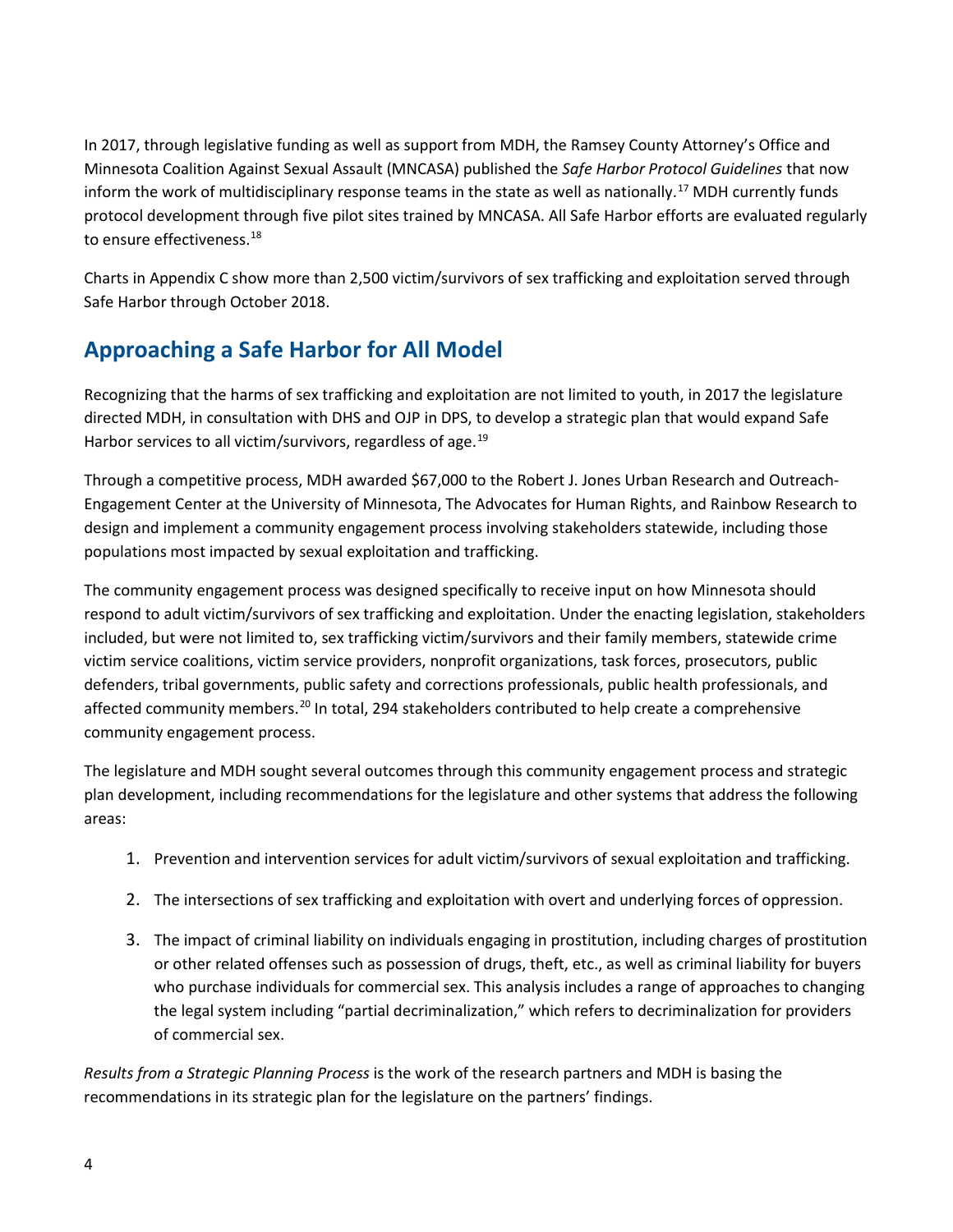In 2017, through legislative funding as well as support from MDH, the Ramsey County Attorney's Office and Minnesota Coalition Against Sexual Assault (MNCASA) published the *Safe Harbor Protocol Guidelines* that now inform the work of multidisciplinary response teams in the state as well as nationally.[17](#page-18-16) MDH currently funds protocol development through five pilot sites trained by MNCASA. All Safe Harbor efforts are evaluated regularly to ensure effectiveness.<sup>[18](#page-18-17)</sup>

Charts in Appendix C show more than 2,500 victim/survivors of sex trafficking and exploitation served through Safe Harbor through October 2018.

### <span id="page-7-0"></span>**Approaching a Safe Harbor for All Model**

Recognizing that the harms of sex trafficking and exploitation are not limited to youth, in 2017 the legislature directed MDH, in consultation with DHS and OJP in DPS, to develop a strategic plan that would expand Safe Harbor services to all victim/survivors, regardless of age.<sup>[19](#page-18-18)</sup>

Through a competitive process, MDH awarded \$67,000 to the Robert J. Jones Urban Research and Outreach-Engagement Center at the University of Minnesota, The Advocates for Human Rights, and Rainbow Research to design and implement a community engagement process involving stakeholders statewide, including those populations most impacted by sexual exploitation and trafficking.

The community engagement process was designed specifically to receive input on how Minnesota should respond to adult victim/survivors of sex trafficking and exploitation. Under the enacting legislation, stakeholders included, but were not limited to, sex trafficking victim/survivors and their family members, statewide crime victim service coalitions, victim service providers, nonprofit organizations, task forces, prosecutors, public defenders, tribal governments, public safety and corrections professionals, public health professionals, and affected community members.<sup>[20](#page-18-19)</sup> In total, 294 stakeholders contributed to help create a comprehensive community engagement process.

The legislature and MDH sought several outcomes through this community engagement process and strategic plan development, including recommendations for the legislature and other systems that address the following areas:

- 1. Prevention and intervention services for adult victim/survivors of sexual exploitation and trafficking.
- 2. The intersections of sex trafficking and exploitation with overt and underlying forces of oppression.
- 3. The impact of criminal liability on individuals engaging in prostitution, including charges of prostitution or other related offenses such as possession of drugs, theft, etc., as well as criminal liability for buyers who purchase individuals for commercial sex. This analysis includes a range of approaches to changing the legal system including "partial decriminalization," which refers to decriminalization for providers of commercial sex.

*Results from a Strategic Planning Process* is the work of the research partners and MDH is basing the recommendations in its strategic plan for the legislature on the partners' findings.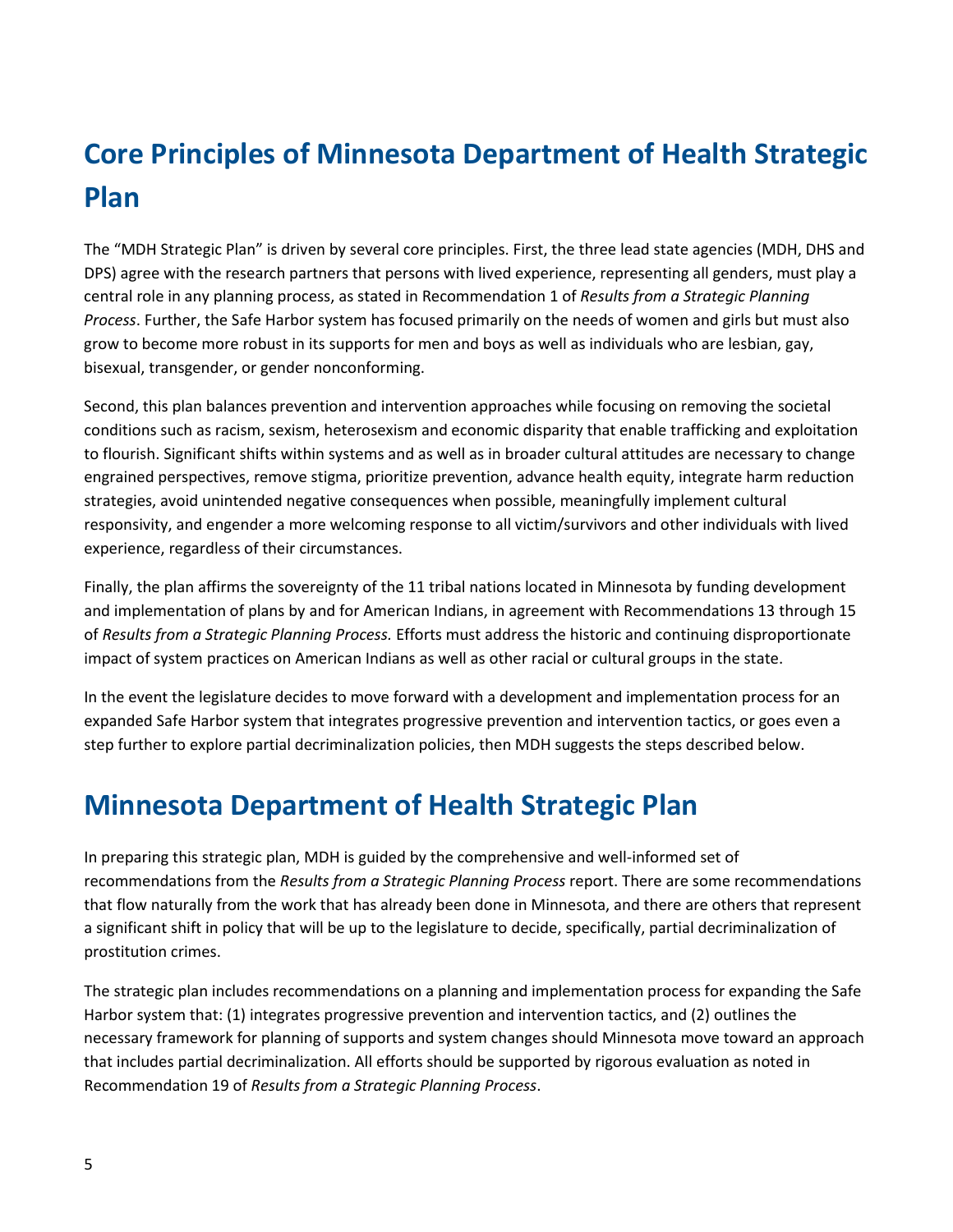# <span id="page-8-0"></span>**Core Principles of Minnesota Department of Health Strategic Plan**

The "MDH Strategic Plan" is driven by several core principles. First, the three lead state agencies (MDH, DHS and DPS) agree with the research partners that persons with lived experience, representing all genders, must play a central role in any planning process, as stated in Recommendation 1 of *Results from a Strategic Planning Process*. Further, the Safe Harbor system has focused primarily on the needs of women and girls but must also grow to become more robust in its supports for men and boys as well as individuals who are lesbian, gay, bisexual, transgender, or gender nonconforming.

Second, this plan balances prevention and intervention approaches while focusing on removing the societal conditions such as racism, sexism, heterosexism and economic disparity that enable trafficking and exploitation to flourish. Significant shifts within systems and as well as in broader cultural attitudes are necessary to change engrained perspectives, remove stigma, prioritize prevention, advance health equity, integrate harm reduction strategies, avoid unintended negative consequences when possible, meaningfully implement cultural responsivity, and engender a more welcoming response to all victim/survivors and other individuals with lived experience, regardless of their circumstances.

Finally, the plan affirms the sovereignty of the 11 tribal nations located in Minnesota by funding development and implementation of plans by and for American Indians, in agreement with Recommendations 13 through 15 of *Results from a Strategic Planning Process.* Efforts must address the historic and continuing disproportionate impact of system practices on American Indians as well as other racial or cultural groups in the state.

In the event the legislature decides to move forward with a development and implementation process for an expanded Safe Harbor system that integrates progressive prevention and intervention tactics, or goes even a step further to explore partial decriminalization policies, then MDH suggests the steps described below.

## <span id="page-8-1"></span>**Minnesota Department of Health Strategic Plan**

In preparing this strategic plan, MDH is guided by the comprehensive and well-informed set of recommendations from the *Results from a Strategic Planning Process* report. There are some recommendations that flow naturally from the work that has already been done in Minnesota, and there are others that represent a significant shift in policy that will be up to the legislature to decide, specifically, partial decriminalization of prostitution crimes.

The strategic plan includes recommendations on a planning and implementation process for expanding the Safe Harbor system that: (1) integrates progressive prevention and intervention tactics, and (2) outlines the necessary framework for planning of supports and system changes should Minnesota move toward an approach that includes partial decriminalization. All efforts should be supported by rigorous evaluation as noted in Recommendation 19 of *Results from a Strategic Planning Process*.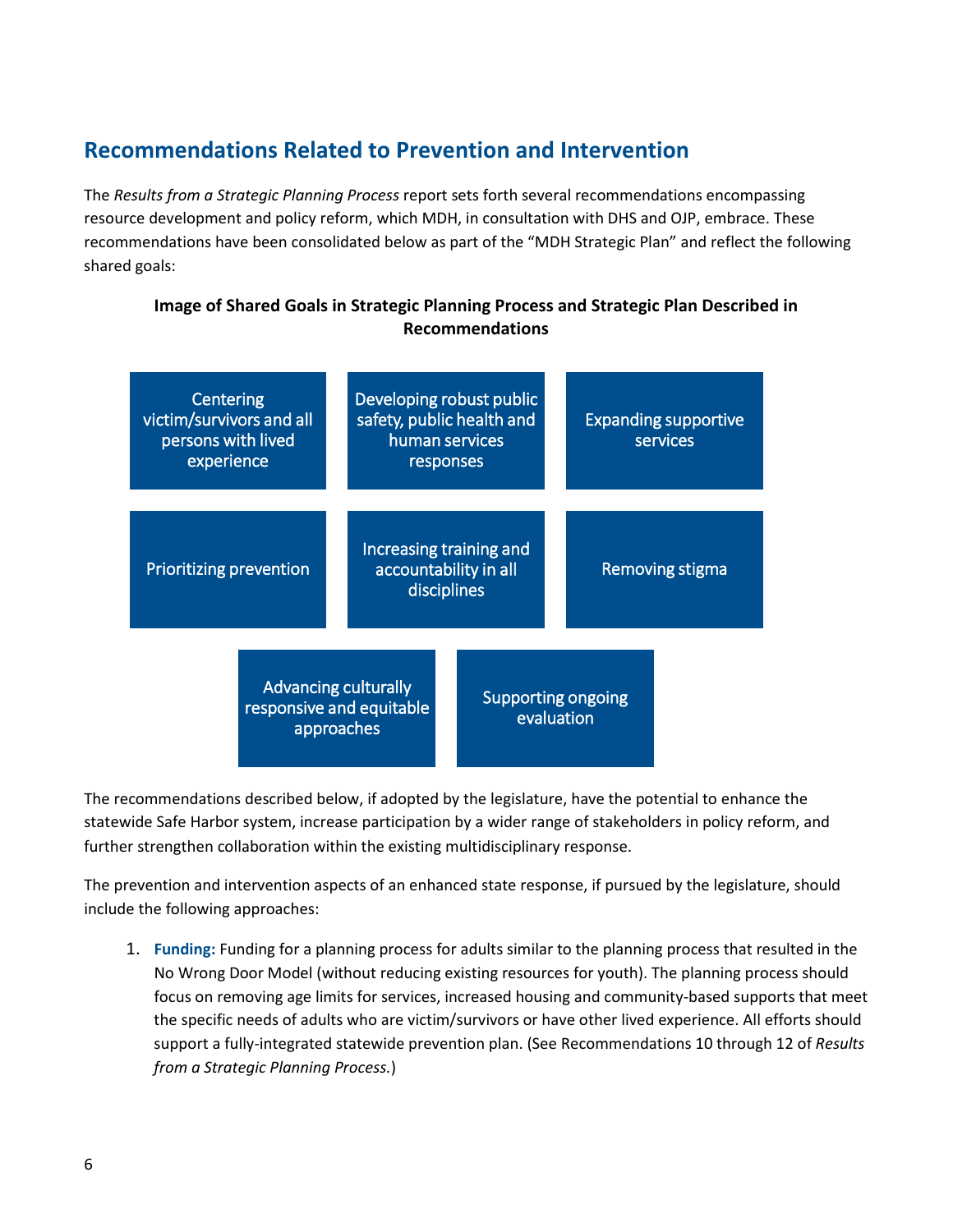#### <span id="page-9-0"></span>**Recommendations Related to Prevention and Intervention**

The *Results from a Strategic Planning Process* report sets forth several recommendations encompassing resource development and policy reform, which MDH, in consultation with DHS and OJP, embrace. These recommendations have been consolidated below as part of the "MDH Strategic Plan" and reflect the following shared goals:

#### **Image of Shared Goals in Strategic Planning Process and Strategic Plan Described in Recommendations**

| Centering<br>victim/survivors and all<br>persons with lived<br>experience |                                                                       | Developing robust public<br>safety, public health and<br>human services<br>responses |                                                                 |                                         | <b>Expanding supportive</b><br>services |                 |  |  |
|---------------------------------------------------------------------------|-----------------------------------------------------------------------|--------------------------------------------------------------------------------------|-----------------------------------------------------------------|-----------------------------------------|-----------------------------------------|-----------------|--|--|
| <b>Prioritizing prevention</b>                                            |                                                                       |                                                                                      | Increasing training and<br>accountability in all<br>disciplines |                                         |                                         | Removing stigma |  |  |
|                                                                           | <b>Advancing culturally</b><br>responsive and equitable<br>approaches |                                                                                      |                                                                 | <b>Supporting ongoing</b><br>evaluation |                                         |                 |  |  |

The recommendations described below, if adopted by the legislature, have the potential to enhance the statewide Safe Harbor system, increase participation by a wider range of stakeholders in policy reform, and further strengthen collaboration within the existing multidisciplinary response.

The prevention and intervention aspects of an enhanced state response, if pursued by the legislature, should include the following approaches:

1. **Funding:** Funding for a planning process for adults similar to the planning process that resulted in the No Wrong Door Model (without reducing existing resources for youth). The planning process should focus on removing age limits for services, increased housing and community-based supports that meet the specific needs of adults who are victim/survivors or have other lived experience. All efforts should support a fully-integrated statewide prevention plan. (See Recommendations 10 through 12 of *Results from a Strategic Planning Process.*)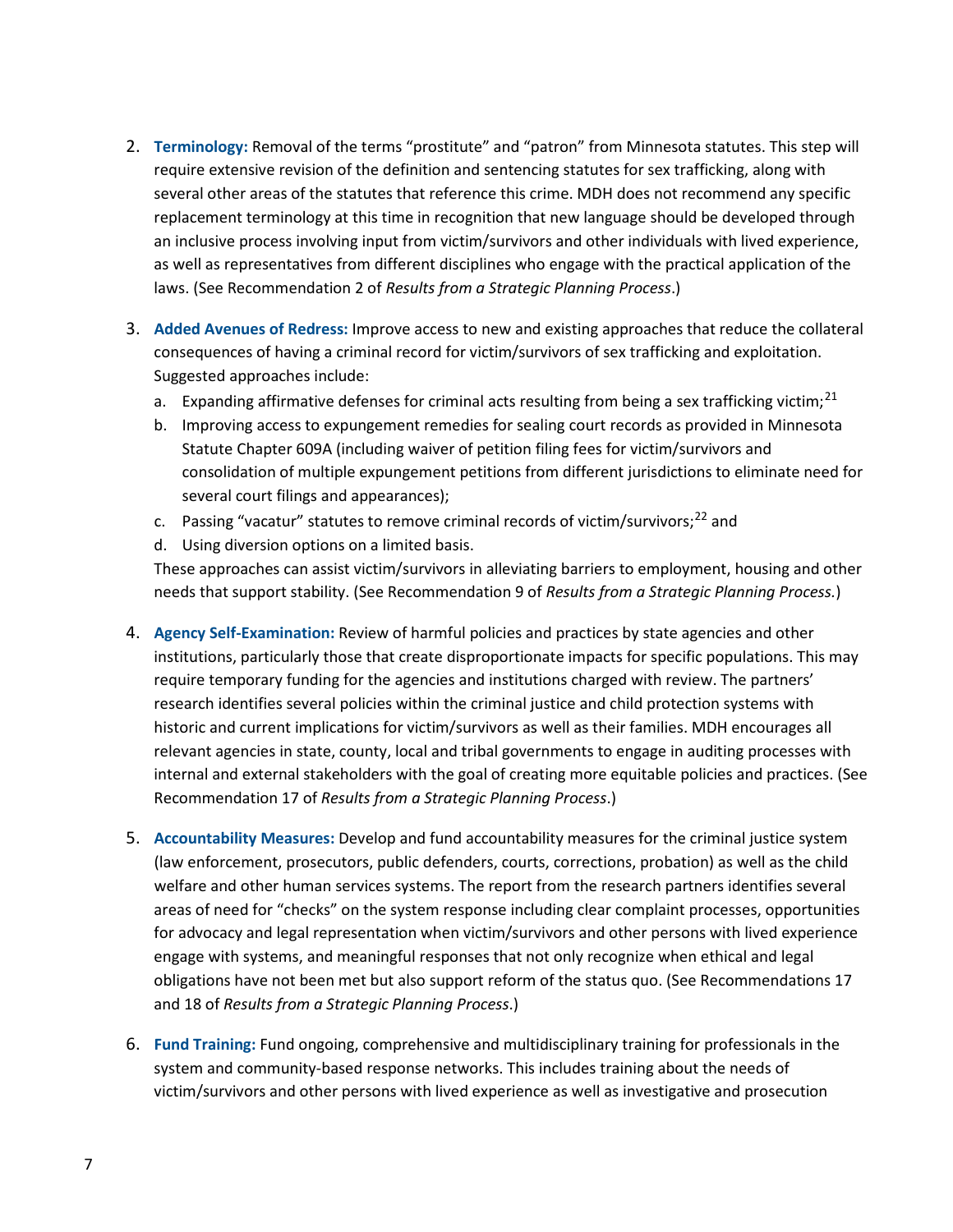- 2. **Terminology:** Removal of the terms "prostitute" and "patron" from Minnesota statutes. This step will require extensive revision of the definition and sentencing statutes for sex trafficking, along with several other areas of the statutes that reference this crime. MDH does not recommend any specific replacement terminology at this time in recognition that new language should be developed through an inclusive process involving input from victim/survivors and other individuals with lived experience, as well as representatives from different disciplines who engage with the practical application of the laws. (See Recommendation 2 of *Results from a Strategic Planning Process*.)
- 3. **Added Avenues of Redress:** Improve access to new and existing approaches that reduce the collateral consequences of having a criminal record for victim/survivors of sex trafficking and exploitation. Suggested approaches include:
	- a. Expanding affirmative defenses for criminal acts resulting from being a sex trafficking victim;<sup>[21](#page-18-20)</sup>
	- b. Improving access to expungement remedies for sealing court records as provided in Minnesota Statute Chapter 609A (including waiver of petition filing fees for victim/survivors and consolidation of multiple expungement petitions from different jurisdictions to eliminate need for several court filings and appearances);
	- c. Passing "vacatur" statutes to remove criminal records of victim/survivors;<sup>[22](#page-18-21)</sup> and
	- d. Using diversion options on a limited basis.

These approaches can assist victim/survivors in alleviating barriers to employment, housing and other needs that support stability. (See Recommendation 9 of *Results from a Strategic Planning Process.*)

- 4. **Agency Self-Examination:** Review of harmful policies and practices by state agencies and other institutions, particularly those that create disproportionate impacts for specific populations. This may require temporary funding for the agencies and institutions charged with review. The partners' research identifies several policies within the criminal justice and child protection systems with historic and current implications for victim/survivors as well as their families. MDH encourages all relevant agencies in state, county, local and tribal governments to engage in auditing processes with internal and external stakeholders with the goal of creating more equitable policies and practices. (See Recommendation 17 of *Results from a Strategic Planning Process*.)
- 5. **Accountability Measures:** Develop and fund accountability measures for the criminal justice system (law enforcement, prosecutors, public defenders, courts, corrections, probation) as well as the child welfare and other human services systems. The report from the research partners identifies several areas of need for "checks" on the system response including clear complaint processes, opportunities for advocacy and legal representation when victim/survivors and other persons with lived experience engage with systems, and meaningful responses that not only recognize when ethical and legal obligations have not been met but also support reform of the status quo. (See Recommendations 17 and 18 of *Results from a Strategic Planning Process*.)
- 6. **Fund Training:** Fund ongoing, comprehensive and multidisciplinary training for professionals in the system and community-based response networks. This includes training about the needs of victim/survivors and other persons with lived experience as well as investigative and prosecution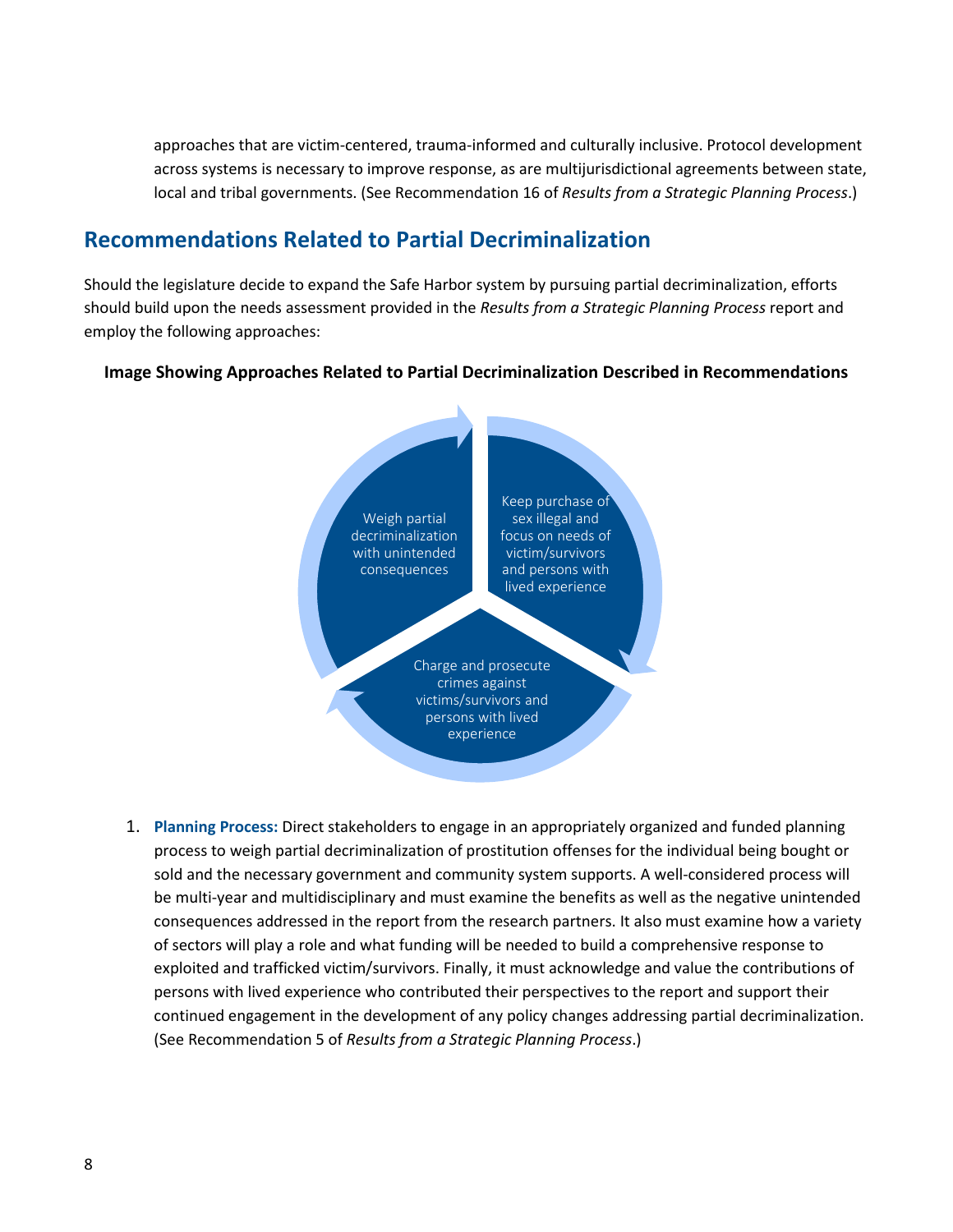approaches that are victim-centered, trauma-informed and culturally inclusive. Protocol development across systems is necessary to improve response, as are multijurisdictional agreements between state, local and tribal governments. (See Recommendation 16 of *Results from a Strategic Planning Process*.)

#### <span id="page-11-0"></span>**Recommendations Related to Partial Decriminalization**

Should the legislature decide to expand the Safe Harbor system by pursuing partial decriminalization, efforts should build upon the needs assessment provided in the *Results from a Strategic Planning Process* report and employ the following approaches:

#### **Image Showing Approaches Related to Partial Decriminalization Described in Recommendations**



1. **Planning Process:** Direct stakeholders to engage in an appropriately organized and funded planning process to weigh partial decriminalization of prostitution offenses for the individual being bought or sold and the necessary government and community system supports. A well-considered process will be multi-year and multidisciplinary and must examine the benefits as well as the negative unintended consequences addressed in the report from the research partners. It also must examine how a variety of sectors will play a role and what funding will be needed to build a comprehensive response to exploited and trafficked victim/survivors. Finally, it must acknowledge and value the contributions of persons with lived experience who contributed their perspectives to the report and support their continued engagement in the development of any policy changes addressing partial decriminalization. (See Recommendation 5 of *Results from a Strategic Planning Process*.)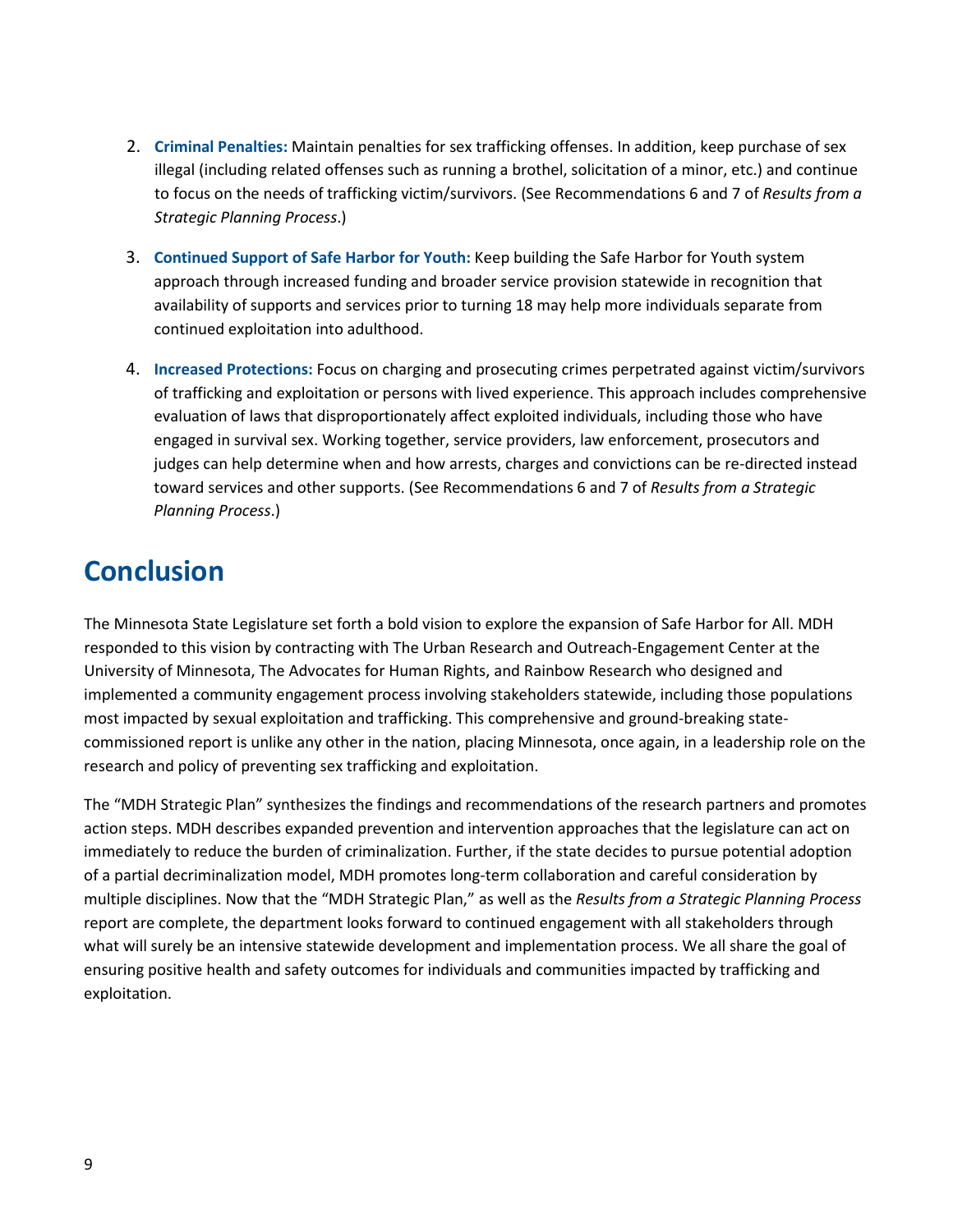- 2. **Criminal Penalties:** Maintain penalties for sex trafficking offenses. In addition, keep purchase of sex illegal (including related offenses such as running a brothel, solicitation of a minor, etc.) and continue to focus on the needs of trafficking victim/survivors. (See Recommendations 6 and 7 of *Results from a Strategic Planning Process*.)
- 3. **Continued Support of Safe Harbor for Youth:** Keep building the Safe Harbor for Youth system approach through increased funding and broader service provision statewide in recognition that availability of supports and services prior to turning 18 may help more individuals separate from continued exploitation into adulthood.
- 4. **Increased Protections:** Focus on charging and prosecuting crimes perpetrated against victim/survivors of trafficking and exploitation or persons with lived experience. This approach includes comprehensive evaluation of laws that disproportionately affect exploited individuals, including those who have engaged in survival sex. Working together, service providers, law enforcement, prosecutors and judges can help determine when and how arrests, charges and convictions can be re-directed instead toward services and other supports. (See Recommendations 6 and 7 of *Results from a Strategic Planning Process*.)

## <span id="page-12-0"></span>**Conclusion**

The Minnesota State Legislature set forth a bold vision to explore the expansion of Safe Harbor for All. MDH responded to this vision by contracting with The Urban Research and Outreach-Engagement Center at the University of Minnesota, The Advocates for Human Rights, and Rainbow Research who designed and implemented a community engagement process involving stakeholders statewide, including those populations most impacted by sexual exploitation and trafficking. This comprehensive and ground-breaking statecommissioned report is unlike any other in the nation, placing Minnesota, once again, in a leadership role on the research and policy of preventing sex trafficking and exploitation.

The "MDH Strategic Plan" synthesizes the findings and recommendations of the research partners and promotes action steps. MDH describes expanded prevention and intervention approaches that the legislature can act on immediately to reduce the burden of criminalization. Further, if the state decides to pursue potential adoption of a partial decriminalization model, MDH promotes long-term collaboration and careful consideration by multiple disciplines. Now that the "MDH Strategic Plan," as well as the *Results from a Strategic Planning Process*  report are complete, the department looks forward to continued engagement with all stakeholders through what will surely be an intensive statewide development and implementation process. We all share the goal of ensuring positive health and safety outcomes for individuals and communities impacted by trafficking and exploitation.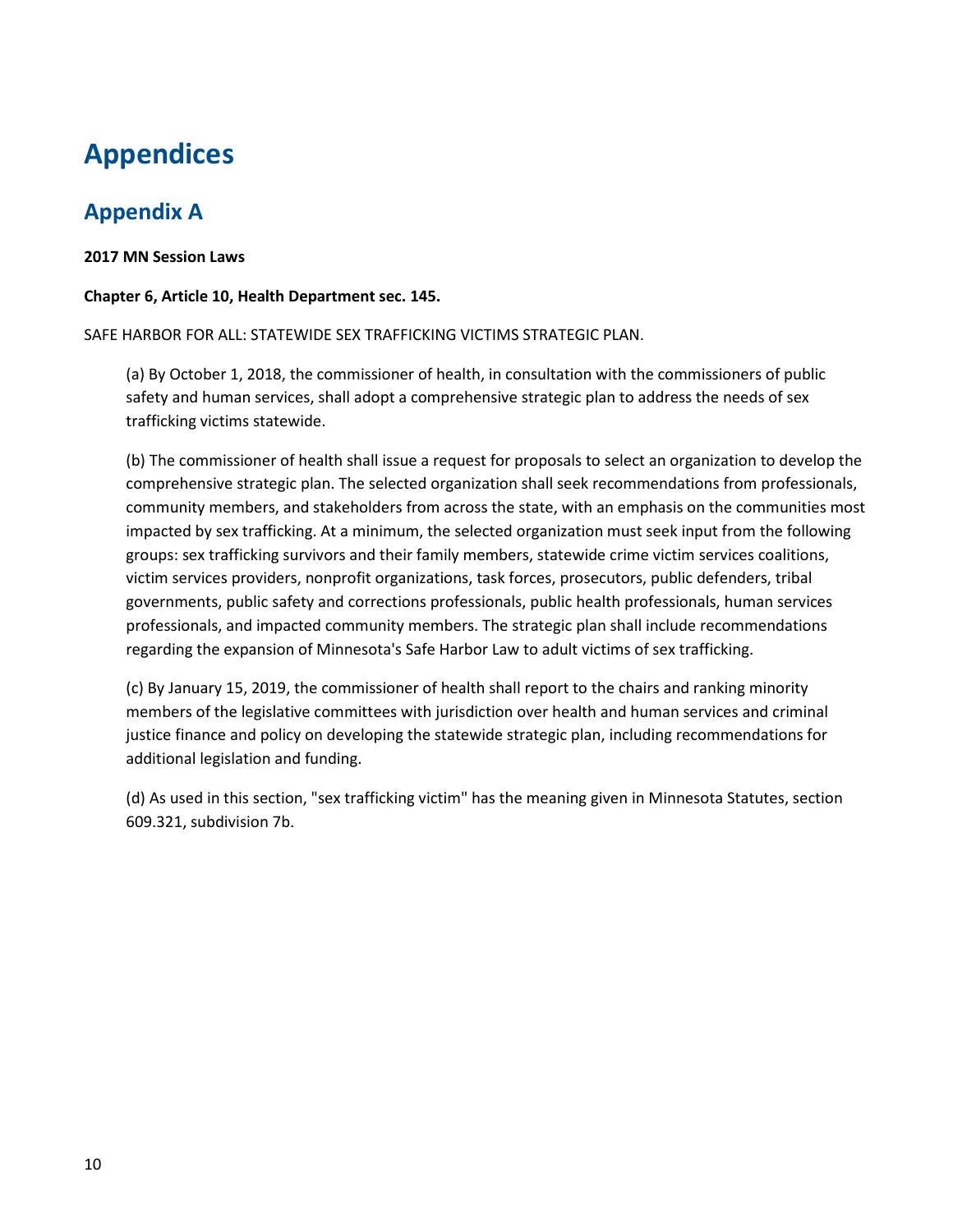## <span id="page-13-0"></span>**Appendices**

## <span id="page-13-1"></span>**Appendix A**

#### **2017 MN Session Laws**

#### **Chapter 6, Article 10, Health Department sec. 145.**

SAFE HARBOR FOR ALL: STATEWIDE SEX TRAFFICKING VICTIMS STRATEGIC PLAN.

(a) By October 1, 2018, the commissioner of health, in consultation with the commissioners of public safety and human services, shall adopt a comprehensive strategic plan to address the needs of sex trafficking victims statewide.

(b) The commissioner of health shall issue a request for proposals to select an organization to develop the comprehensive strategic plan. The selected organization shall seek recommendations from professionals, community members, and stakeholders from across the state, with an emphasis on the communities most impacted by sex trafficking. At a minimum, the selected organization must seek input from the following groups: sex trafficking survivors and their family members, statewide crime victim services coalitions, victim services providers, nonprofit organizations, task forces, prosecutors, public defenders, tribal governments, public safety and corrections professionals, public health professionals, human services professionals, and impacted community members. The strategic plan shall include recommendations regarding the expansion of Minnesota's Safe Harbor Law to adult victims of sex trafficking.

(c) By January 15, 2019, the commissioner of health shall report to the chairs and ranking minority members of the legislative committees with jurisdiction over health and human services and criminal justice finance and policy on developing the statewide strategic plan, including recommendations for additional legislation and funding.

(d) As used in this section, "sex trafficking victim" has the meaning given in Minnesota Statutes, section 609.321, subdivision 7b.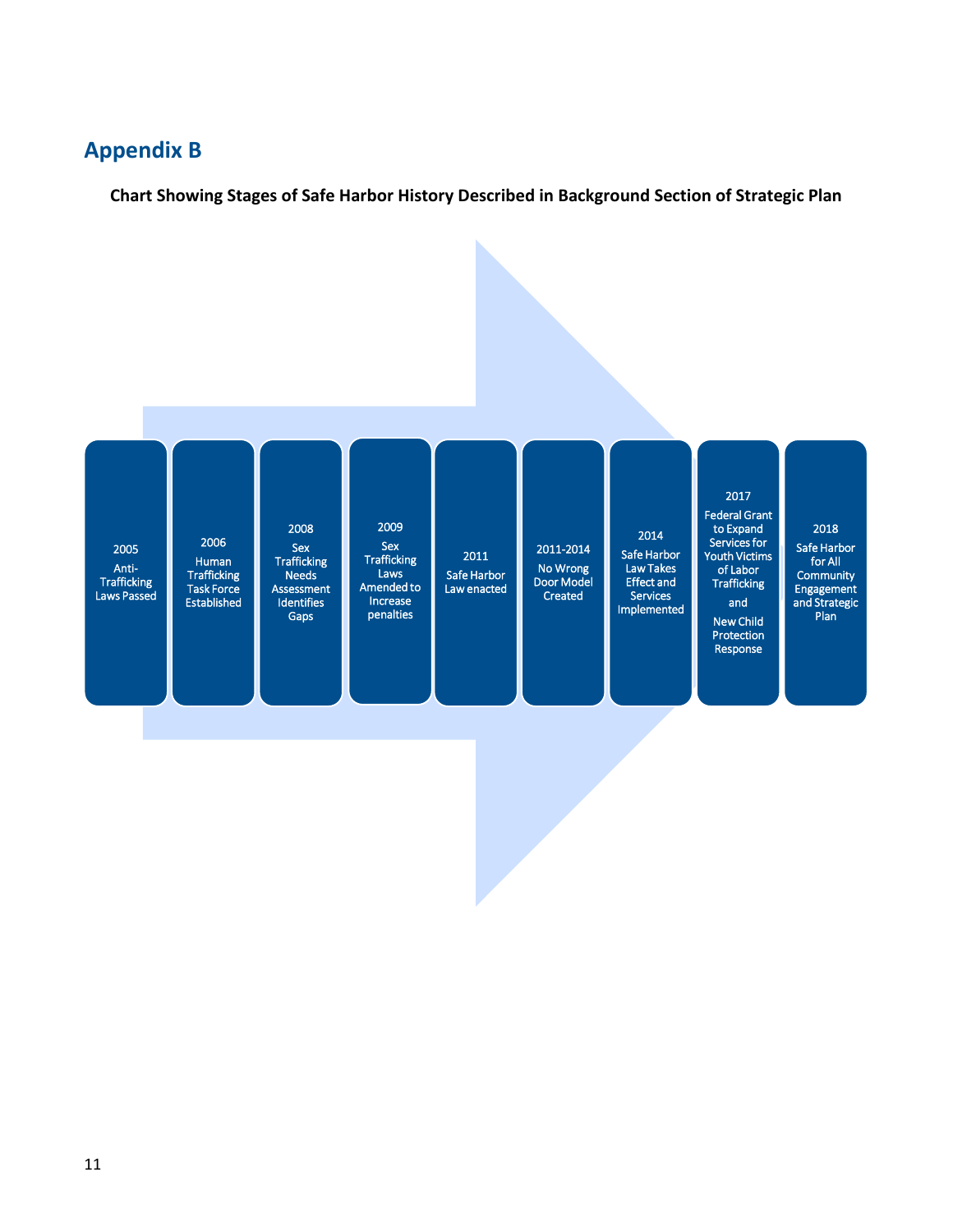#### <span id="page-14-0"></span>**Appendix B**

**Chart Showing Stages of Safe Harbor History Described in Background Section of Strategic Plan**

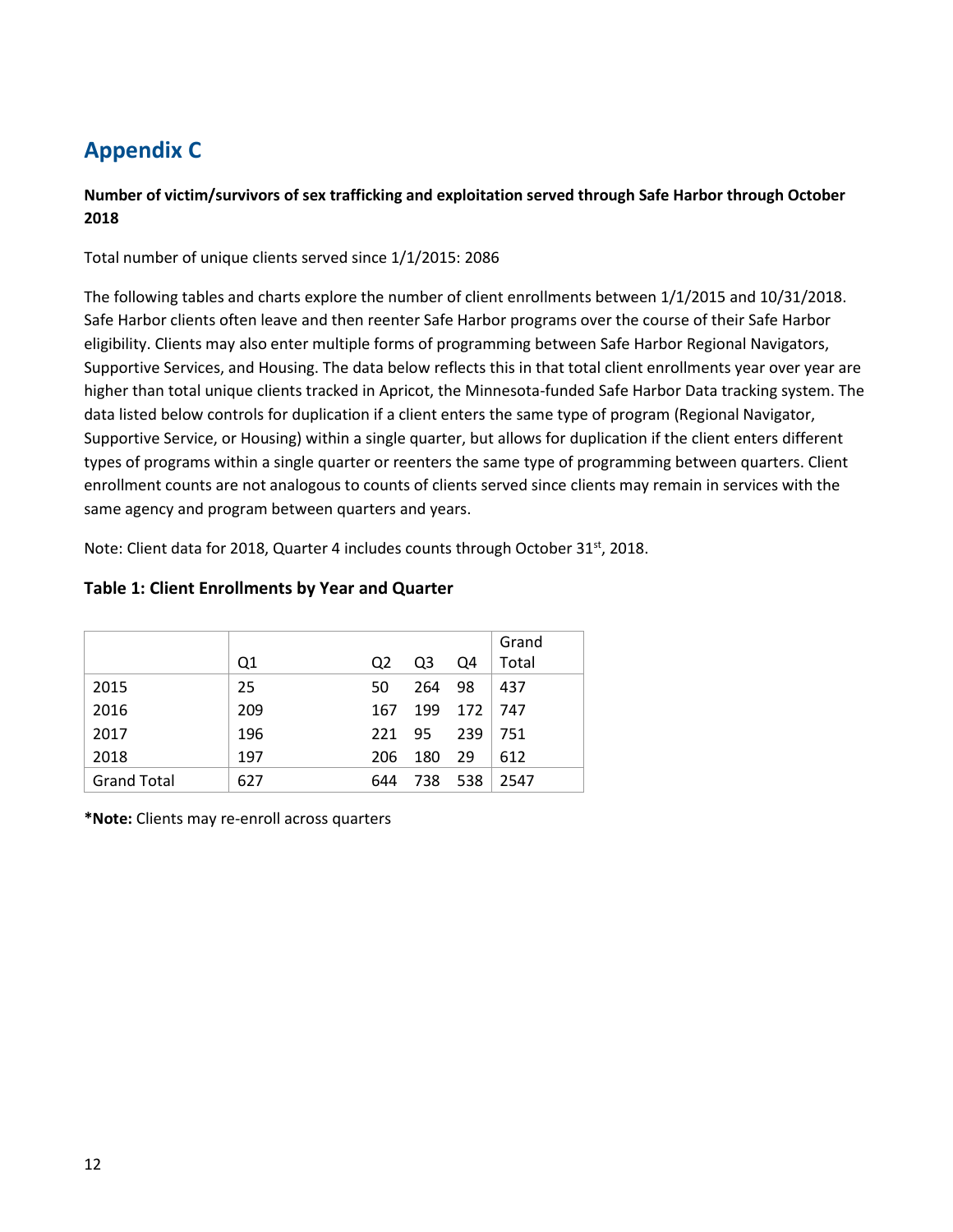## <span id="page-15-0"></span>**Appendix C**

#### **Number of victim/survivors of sex trafficking and exploitation served through Safe Harbor through October 2018**

Total number of unique clients served since 1/1/2015: 2086

The following tables and charts explore the number of client enrollments between 1/1/2015 and 10/31/2018. Safe Harbor clients often leave and then reenter Safe Harbor programs over the course of their Safe Harbor eligibility. Clients may also enter multiple forms of programming between Safe Harbor Regional Navigators, Supportive Services, and Housing. The data below reflects this in that total client enrollments year over year are higher than total unique clients tracked in Apricot, the Minnesota-funded Safe Harbor Data tracking system. The data listed below controls for duplication if a client enters the same type of program (Regional Navigator, Supportive Service, or Housing) within a single quarter, but allows for duplication if the client enters different types of programs within a single quarter or reenters the same type of programming between quarters. Client enrollment counts are not analogous to counts of clients served since clients may remain in services with the same agency and program between quarters and years.

Note: Client data for 2018, Quarter 4 includes counts through October 31<sup>st</sup>, 2018.

#### **Table 1: Client Enrollments by Year and Quarter**

|                    |     |     |     |       | Grand |
|--------------------|-----|-----|-----|-------|-------|
|                    | Q1  | Q2  | Q3  | Q4    | Total |
| 2015               | 25  | 50  | 264 | -98   | 437   |
| 2016               | 209 | 167 | 199 | 172   | 747   |
| 2017               | 196 | 221 | 95  | 239   | 751   |
| 2018               | 197 | 206 | 180 | 29    | 612   |
| <b>Grand Total</b> | 627 | 644 | 738 | - 538 | 2547  |

**\*Note:** Clients may re-enroll across quarters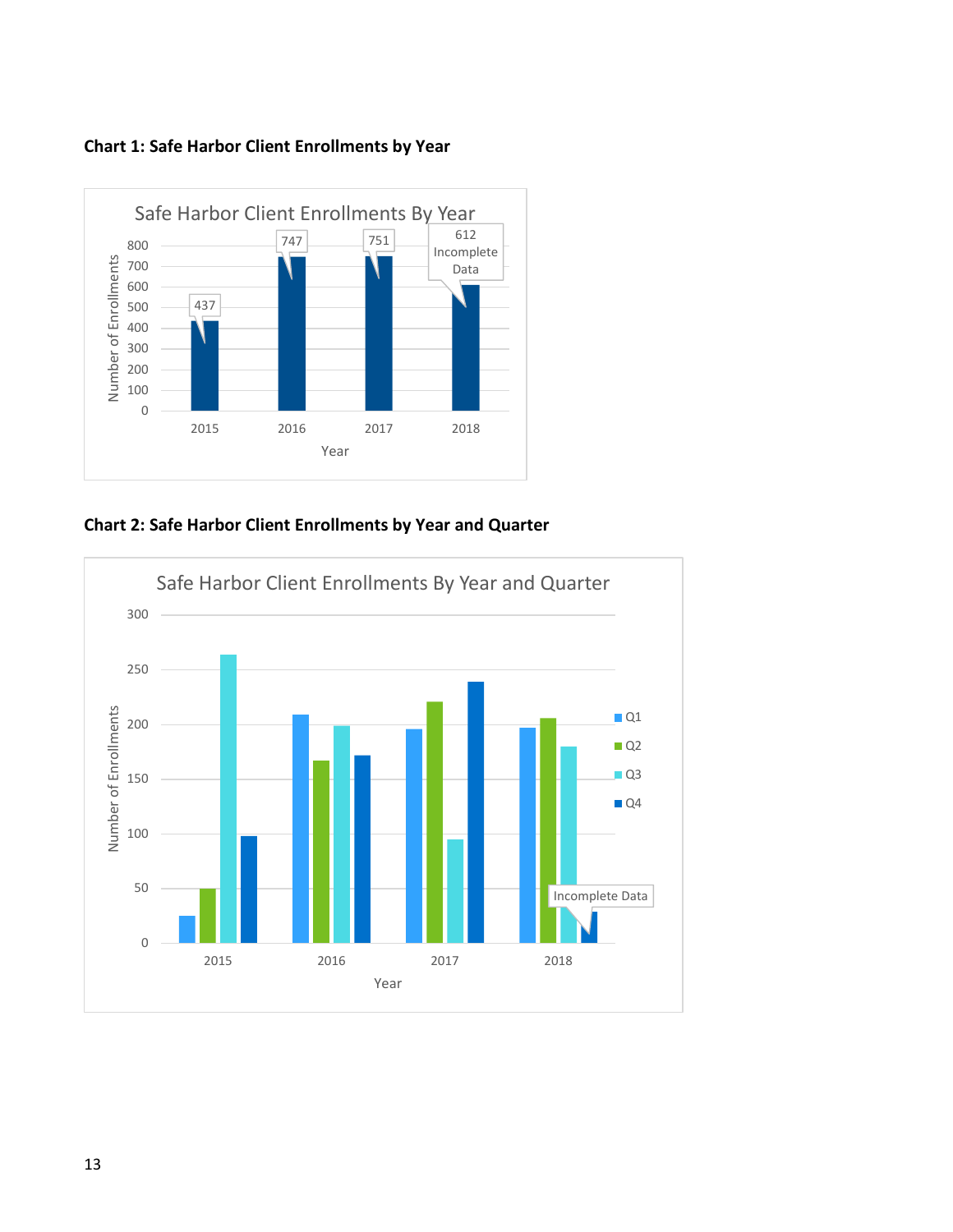



**Chart 2: Safe Harbor Client Enrollments by Year and Quarter**

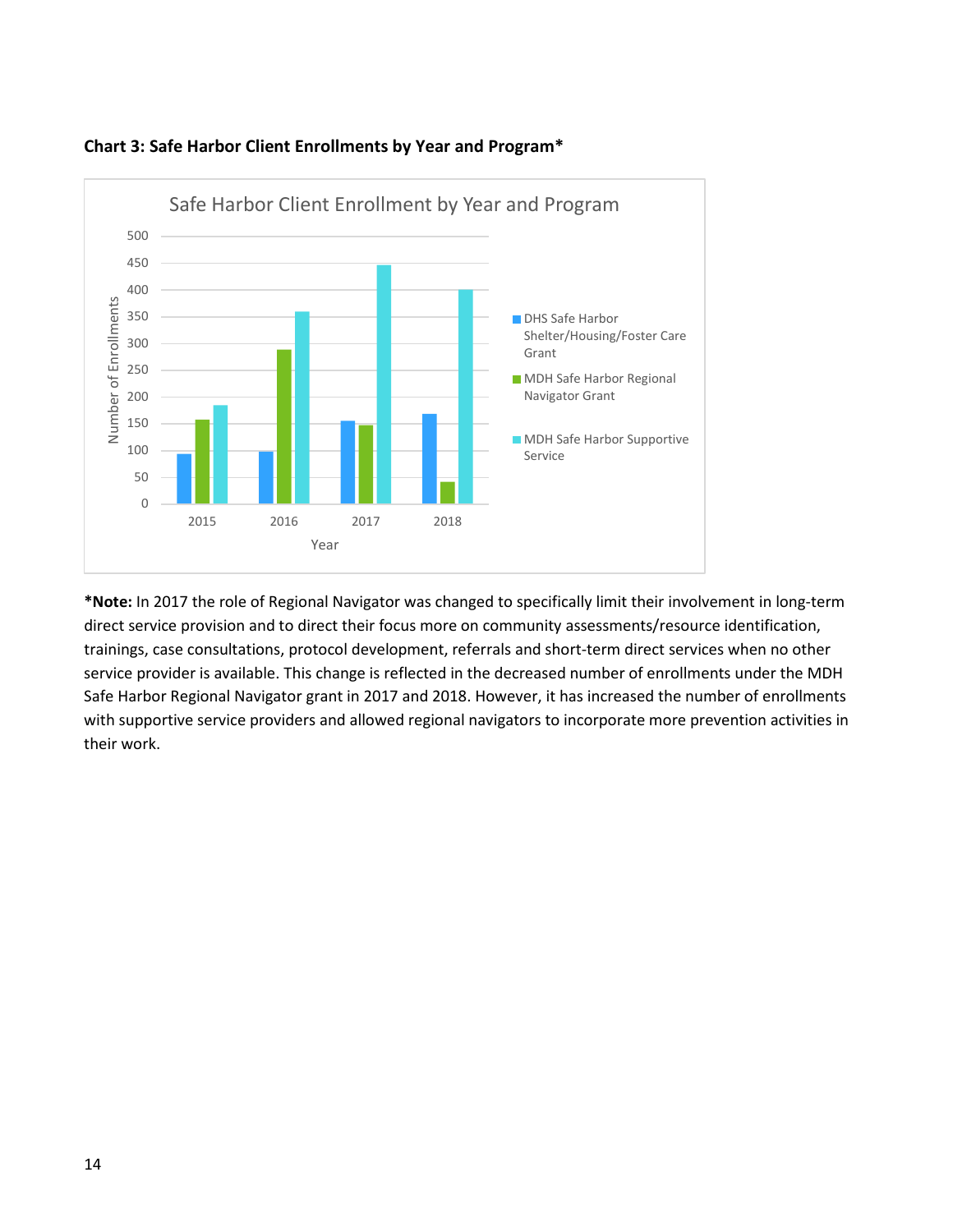

#### **Chart 3: Safe Harbor Client Enrollments by Year and Program\***

**\*Note:** In 2017 the role of Regional Navigator was changed to specifically limit their involvement in long-term direct service provision and to direct their focus more on community assessments/resource identification, trainings, case consultations, protocol development, referrals and short-term direct services when no other service provider is available. This change is reflected in the decreased number of enrollments under the MDH Safe Harbor Regional Navigator grant in 2017 and 2018. However, it has increased the number of enrollments with supportive service providers and allowed regional navigators to incorporate more prevention activities in their work.